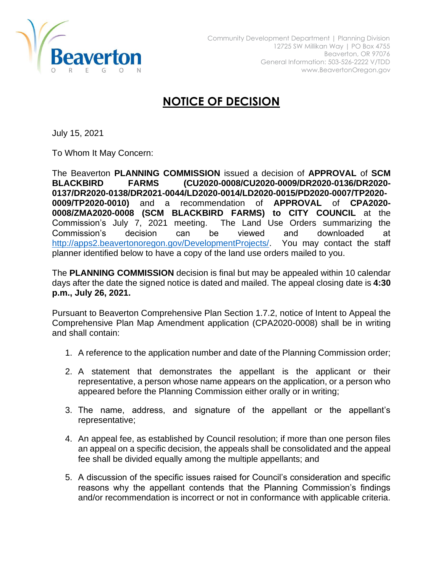

## **NOTICE OF DECISION**

July 15, 2021

To Whom It May Concern:

The Beaverton **PLANNING COMMISSION** issued a decision of **APPROVAL** of **SCM BLACKBIRD FARMS (CU2020-0008/CU2020-0009/DR2020-0136/DR2020- 0137/DR2020-0138/DR2021-0044/LD2020-0014/LD2020-0015/PD2020-0007/TP2020- 0009/TP2020-0010)** and a recommendation of **APPROVAL** of **CPA2020- 0008/ZMA2020-0008 (SCM BLACKBIRD FARMS) to CITY COUNCIL** at the Commission's July 7, 2021 meeting. The Land Use Orders summarizing the Commission's decision can be viewed and downloaded at [http://apps2.beavertonoregon.gov/DevelopmentProjects/.](http://apps2.beavertonoregon.gov/DevelopmentProjects/) You may contact the staff planner identified below to have a copy of the land use orders mailed to you.

The **PLANNING COMMISSION** decision is final but may be appealed within 10 calendar days after the date the signed notice is dated and mailed. The appeal closing date is **4:30 p.m., July 26, 2021.**

Pursuant to Beaverton Comprehensive Plan Section 1.7.2, notice of Intent to Appeal the Comprehensive Plan Map Amendment application (CPA2020-0008) shall be in writing and shall contain:

- 1. A reference to the application number and date of the Planning Commission order;
- 2. A statement that demonstrates the appellant is the applicant or their representative, a person whose name appears on the application, or a person who appeared before the Planning Commission either orally or in writing;
- 3. The name, address, and signature of the appellant or the appellant's representative;
- 4. An appeal fee, as established by Council resolution; if more than one person files an appeal on a specific decision, the appeals shall be consolidated and the appeal fee shall be divided equally among the multiple appellants; and
- 5. A discussion of the specific issues raised for Council's consideration and specific reasons why the appellant contends that the Planning Commission's findings and/or recommendation is incorrect or not in conformance with applicable criteria.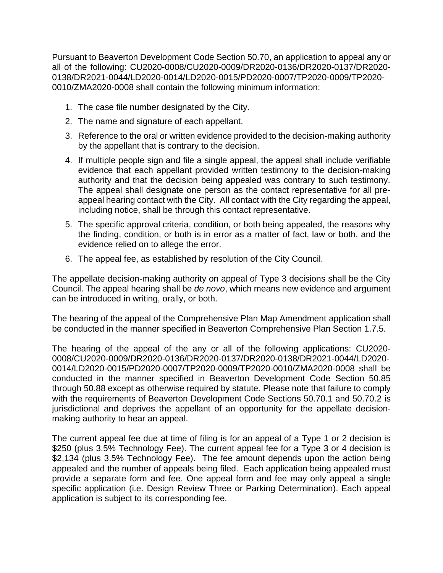Pursuant to Beaverton Development Code Section 50.70, an application to appeal any or all of the following: CU2020-0008/CU2020-0009/DR2020-0136/DR2020-0137/DR2020- 0138/DR2021-0044/LD2020-0014/LD2020-0015/PD2020-0007/TP2020-0009/TP2020- 0010/ZMA2020-0008 shall contain the following minimum information:

- 1. The case file number designated by the City.
- 2. The name and signature of each appellant.
- 3. Reference to the oral or written evidence provided to the decision-making authority by the appellant that is contrary to the decision.
- 4. If multiple people sign and file a single appeal, the appeal shall include verifiable evidence that each appellant provided written testimony to the decision-making authority and that the decision being appealed was contrary to such testimony. The appeal shall designate one person as the contact representative for all preappeal hearing contact with the City. All contact with the City regarding the appeal, including notice, shall be through this contact representative.
- 5. The specific approval criteria, condition, or both being appealed, the reasons why the finding, condition, or both is in error as a matter of fact, law or both, and the evidence relied on to allege the error.
- 6. The appeal fee, as established by resolution of the City Council.

The appellate decision-making authority on appeal of Type 3 decisions shall be the City Council. The appeal hearing shall be *de novo*, which means new evidence and argument can be introduced in writing, orally, or both.

The hearing of the appeal of the Comprehensive Plan Map Amendment application shall be conducted in the manner specified in Beaverton Comprehensive Plan Section 1.7.5.

The hearing of the appeal of the any or all of the following applications: CU2020- 0008/CU2020-0009/DR2020-0136/DR2020-0137/DR2020-0138/DR2021-0044/LD2020- 0014/LD2020-0015/PD2020-0007/TP2020-0009/TP2020-0010/ZMA2020-0008 shall be conducted in the manner specified in Beaverton Development Code Section 50.85 through 50.88 except as otherwise required by statute. Please note that failure to comply with the requirements of Beaverton Development Code Sections 50.70.1 and 50.70.2 is jurisdictional and deprives the appellant of an opportunity for the appellate decisionmaking authority to hear an appeal.

The current appeal fee due at time of filing is for an appeal of a Type 1 or 2 decision is \$250 (plus 3.5% Technology Fee). The current appeal fee for a Type 3 or 4 decision is \$2,134 (plus 3.5% Technology Fee). The fee amount depends upon the action being appealed and the number of appeals being filed. Each application being appealed must provide a separate form and fee. One appeal form and fee may only appeal a single specific application (i.e. Design Review Three or Parking Determination). Each appeal application is subject to its corresponding fee.